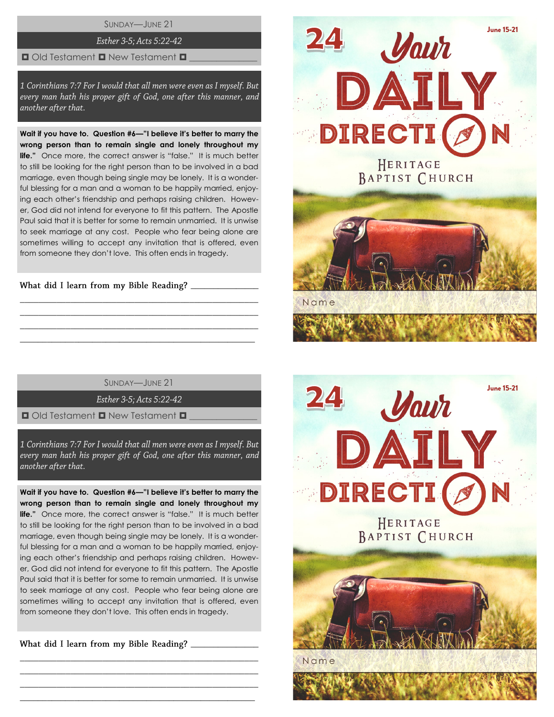SUNDAY—JUNE 21

Esther 3-5; Acts 5:22-42

#### $\Box$  Old Testament  $\Box$  New Testament  $\Box$

1 Corinthians 7:7 For I would that all men were even as I myself. But every man hath his proper gift of God, one after this manner, and another after that.

**Wait if you have to. Question #6—"I believe it's better to marry the wrong person than to remain single and lonely throughout my life."** Once more, the correct answer is "false." It is much better to still be looking for the right person than to be involved in a bad marriage, even though being single may be lonely. It is a wonderful blessing for a man and a woman to be happily married, enjoying each other's friendship and perhaps raising children. However, God did not intend for everyone to fit this pattern. The Apostle Paul said that it is better for some to remain unmarried. It is unwise to seek marriage at any cost. People who fear being alone are sometimes willing to accept any invitation that is offered, even from someone they don't love. This often ends in tragedy.

What did I learn from my Bible Reading?

SUNDAY—JUNE 21

\_\_\_\_\_\_\_\_\_\_\_\_\_\_\_\_\_\_\_\_\_\_\_\_\_\_\_\_\_\_\_\_\_\_\_\_\_\_\_\_\_\_\_\_\_\_\_\_\_\_\_\_ \_\_\_\_\_\_\_\_\_\_\_\_\_\_\_\_\_\_\_\_\_\_\_\_\_\_\_\_\_\_\_\_\_\_\_\_\_\_\_\_\_\_\_\_\_\_\_\_\_\_\_\_ \_\_\_\_\_\_\_\_\_\_\_\_\_\_\_\_\_\_\_\_\_\_\_\_\_\_\_\_\_\_\_\_\_\_\_\_\_\_\_\_\_\_\_\_\_\_\_\_\_\_\_\_  $\_$  , and the set of the set of the set of the set of the set of the set of the set of the set of the set of the set of the set of the set of the set of the set of the set of the set of the set of the set of the set of th

Esther 3-5; Acts 5:22-42

 $\Box$  Old Testament  $\Box$  New Testament  $\Box$ 

1 Corinthians 7:7 For I would that all men were even as I myself. But every man hath his proper gift of God, one after this manner, and another after that.

**Wait if you have to. Question #6—"I believe it's better to marry the wrong person than to remain single and lonely throughout my life.**" Once more, the correct answer is "false." It is much better to still be looking for the right person than to be involved in a bad marriage, even though being single may be lonely. It is a wonderful blessing for a man and a woman to be happily married, enjoying each other's friendship and perhaps raising children. However, God did not intend for everyone to fit this pattern. The Apostle Paul said that it is better for some to remain unmarried. It is unwise to seek marriage at any cost. People who fear being alone are sometimes willing to accept any invitation that is offered, even from someone they don't love. This often ends in tragedy.

\_\_\_\_\_\_\_\_\_\_\_\_\_\_\_\_\_\_\_\_\_\_\_\_\_\_\_\_\_\_\_\_\_\_\_\_\_\_\_\_\_\_\_\_\_\_\_\_\_\_\_\_ \_\_\_\_\_\_\_\_\_\_\_\_\_\_\_\_\_\_\_\_\_\_\_\_\_\_\_\_\_\_\_\_\_\_\_\_\_\_\_\_\_\_\_\_\_\_\_\_\_\_\_\_ \_\_\_\_\_\_\_\_\_\_\_\_\_\_\_\_\_\_\_\_\_\_\_\_\_\_\_\_\_\_\_\_\_\_\_\_\_\_\_\_\_\_\_\_\_\_\_\_\_\_\_\_  $\_$  , and the set of the set of the set of the set of the set of the set of the set of the set of the set of the set of the set of the set of the set of the set of the set of the set of the set of the set of the set of th



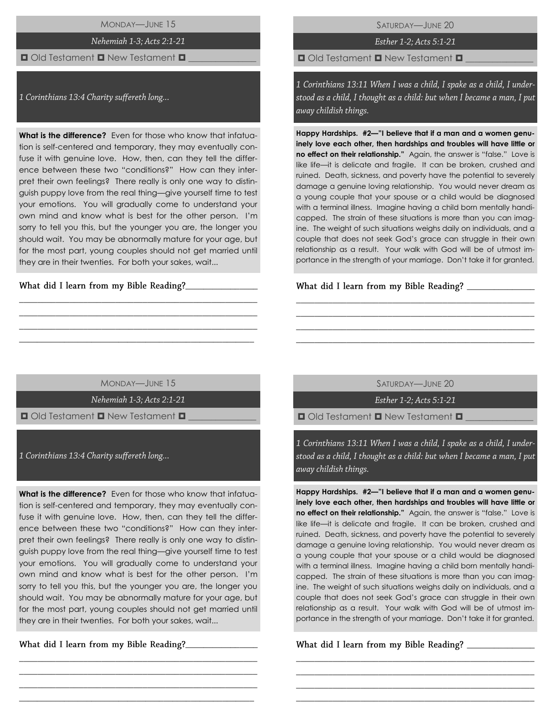MONDAY—JUNE 15

Nehemiah 1-3; Acts 2:1-21

# $\Box$  Old Testament  $\Box$  New Testament  $\Box$

1 Corinthians 13:4 Charity suffereth long...

**What is the difference?** Even for those who know that infatuation is self-centered and temporary, they may eventually confuse it with genuine love. How, then, can they tell the difference between these two "conditions?" How can they interpret their own feelings? There really is only one way to distinguish puppy love from the real thing—give yourself time to test your emotions. You will gradually come to understand your own mind and know what is best for the other person. I'm sorry to tell you this, but the younger you are, the longer you should wait. You may be abnormally mature for your age, but for the most part, young couples should not get married until they are in their twenties. For both your sakes, wait...

What did I learn from my Bible Reading?\_\_\_

SATURDAY—JUNE 20

Esther 1-2; Acts 5:1-21

 $\Box$  Old Testament  $\Box$  New Testament  $\Box$ 

1 Corinthians 13:11 When I was a child, I spake as a child, I understood as a child, I thought as a child: but when I became a man, I put away childish things.

**Happy Hardships. #2—"I believe that if a man and a women genuinely love each other, then hardships and troubles will have little or no effect on their relationship."** Again, the answer is "false." Love is like life—it is delicate and fragile. It can be broken, crushed and ruined. Death, sickness, and poverty have the potential to severely damage a genuine loving relationship. You would never dream as a young couple that your spouse or a child would be diagnosed with a terminal illness. Imagine having a child born mentally handicapped. The strain of these situations is more than you can imagine. The weight of such situations weighs daily on individuals, and a couple that does not seek God's grace can struggle in their own relationship as a result. Your walk with God will be of utmost importance in the strength of your marriage. Don't take it for granted.

What did I learn from my Bible Reading? \_\_\_\_\_

MONDAY—JUNE 15

\_\_\_\_\_\_\_\_\_\_\_\_\_\_\_\_\_\_\_\_\_\_\_\_\_\_\_\_\_\_\_\_\_\_\_\_\_\_\_\_\_\_\_\_\_\_\_\_\_\_\_\_ \_\_\_\_\_\_\_\_\_\_\_\_\_\_\_\_\_\_\_\_\_\_\_\_\_\_\_\_\_\_\_\_\_\_\_\_\_\_\_\_\_\_\_\_\_\_\_\_\_\_\_\_ \_\_\_\_\_\_\_\_\_\_\_\_\_\_\_\_\_\_\_\_\_\_\_\_\_\_\_\_\_\_\_\_\_\_\_\_\_\_\_\_\_\_\_\_\_\_\_\_\_\_\_\_ \_\_\_\_\_\_\_\_\_\_\_\_\_\_\_\_\_\_\_\_\_\_\_\_\_\_\_\_\_\_\_\_\_\_\_\_\_\_\_\_\_\_\_\_\_\_\_\_\_\_\_\_

Nehemiah 1-3; Acts 2:1-21

 $\Box$  Old Testament  $\Box$  New Testament  $\Box$ 

1 Corinthians 13:4 Charity suffereth long...

**What is the difference?** Even for those who know that infatuation is self-centered and temporary, they may eventually confuse it with genuine love. How, then, can they tell the difference between these two "conditions?" How can they interpret their own feelings? There really is only one way to distinguish puppy love from the real thing—give yourself time to test your emotions. You will gradually come to understand your own mind and know what is best for the other person. I'm sorry to tell you this, but the younger you are, the longer you should wait. You may be abnormally mature for your age, but for the most part, young couples should not get married until they are in their twenties. For both your sakes, wait...

\_\_\_\_\_\_\_\_\_\_\_\_\_\_\_\_\_\_\_\_\_\_\_\_\_\_\_\_\_\_\_\_\_\_\_\_\_\_\_\_\_\_\_\_\_\_\_\_\_\_\_\_ \_\_\_\_\_\_\_\_\_\_\_\_\_\_\_\_\_\_\_\_\_\_\_\_\_\_\_\_\_\_\_\_\_\_\_\_\_\_\_\_\_\_\_\_\_\_\_\_\_\_\_\_ \_\_\_\_\_\_\_\_\_\_\_\_\_\_\_\_\_\_\_\_\_\_\_\_\_\_\_\_\_\_\_\_\_\_\_\_\_\_\_\_\_\_\_\_\_\_\_\_\_\_\_\_ \_\_\_\_\_\_\_\_\_\_\_\_\_\_\_\_\_\_\_\_\_\_\_\_\_\_\_\_\_\_\_\_\_\_\_\_\_\_\_\_\_\_\_\_\_\_\_\_\_\_\_\_

\_\_\_\_\_\_\_\_\_\_\_\_\_\_\_\_

SATURDAY—JUNE 20

\_\_\_\_\_\_\_\_\_\_\_\_\_\_\_\_\_\_\_\_\_\_\_\_\_\_\_\_\_\_\_\_\_\_\_\_\_\_\_\_\_\_\_\_\_\_\_\_\_\_\_\_ \_\_\_\_\_\_\_\_\_\_\_\_\_\_\_\_\_\_\_\_\_\_\_\_\_\_\_\_\_\_\_\_\_\_\_\_\_\_\_\_\_\_\_\_\_\_\_\_\_\_\_\_ \_\_\_\_\_\_\_\_\_\_\_\_\_\_\_\_\_\_\_\_\_\_\_\_\_\_\_\_\_\_\_\_\_\_\_\_\_\_\_\_\_\_\_\_\_\_\_\_\_\_\_\_ \_\_\_\_\_\_\_\_\_\_\_\_\_\_\_\_\_\_\_\_\_\_\_\_\_\_\_\_\_\_\_\_\_\_\_\_\_\_\_\_\_\_\_\_\_\_\_\_\_\_\_\_

Esther 1-2: Acts 5:1-21

 $\Box$  Old Testament  $\Box$  New Testament  $\Box$ 

1 Corinthians 13:11 When I was a child, I spake as a child, I understood as a child, I thought as a child: but when I became a man, I put away childish things.

**Happy Hardships. #2—"I believe that if a man and a women genuinely love each other, then hardships and troubles will have little or no effect on their relationship."** Again, the answer is "false." Love is like life—it is delicate and fragile. It can be broken, crushed and ruined. Death, sickness, and poverty have the potential to severely damage a genuine loving relationship. You would never dream as a young couple that your spouse or a child would be diagnosed with a terminal illness. Imagine having a child born mentally handicapped. The strain of these situations is more than you can imagine. The weight of such situations weighs daily on individuals, and a couple that does not seek God's grace can struggle in their own relationship as a result. Your walk with God will be of utmost importance in the strength of your marriage. Don't take it for granted.

\_\_\_\_\_\_\_\_\_\_\_\_\_\_\_\_\_\_\_\_\_\_\_\_\_\_\_\_\_\_\_\_\_\_\_\_\_\_\_\_\_\_\_\_\_\_\_\_\_\_\_\_ \_\_\_\_\_\_\_\_\_\_\_\_\_\_\_\_\_\_\_\_\_\_\_\_\_\_\_\_\_\_\_\_\_\_\_\_\_\_\_\_\_\_\_\_\_\_\_\_\_\_\_\_ \_\_\_\_\_\_\_\_\_\_\_\_\_\_\_\_\_\_\_\_\_\_\_\_\_\_\_\_\_\_\_\_\_\_\_\_\_\_\_\_\_\_\_\_\_\_\_\_\_\_\_\_ \_\_\_\_\_\_\_\_\_\_\_\_\_\_\_\_\_\_\_\_\_\_\_\_\_\_\_\_\_\_\_\_\_\_\_\_\_\_\_\_\_\_\_\_\_\_\_\_\_\_\_\_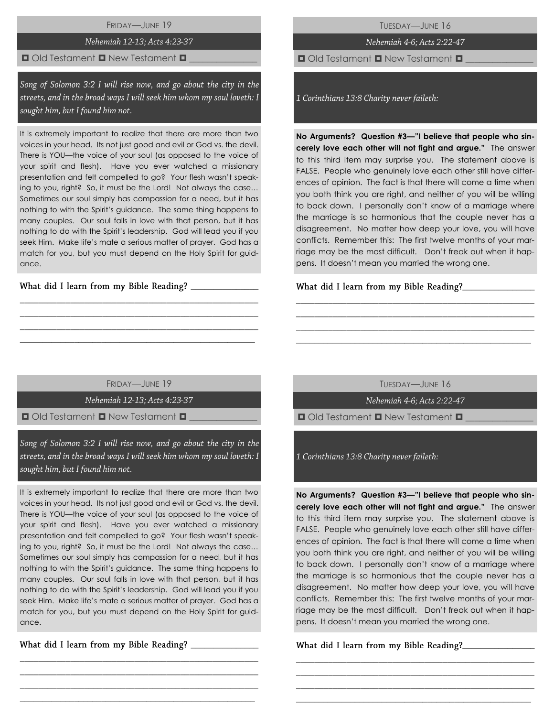FRIDAY—JUNE 19

# Nehemiah 12-13; Acts 4:23-37

### $\Box$  Old Testament  $\Box$  New Testament  $\Box$

Song of Solomon 3:2 I will rise now, and go about the city in the streets, and in the broad ways I will seek him whom my soul loveth: I sought him, but I found him not.

It is extremely important to realize that there are more than two voices in your head. Its not just good and evil or God vs. the devil. There is YOU—the voice of your soul (as opposed to the voice of your spirit and flesh). Have you ever watched a missionary presentation and felt compelled to go? Your flesh wasn't speaking to you, right? So, it must be the Lord! Not always the case… Sometimes our soul simply has compassion for a need, but it has nothing to with the Spirit's guidance. The same thing happens to many couples. Our soul falls in love with that person, but it has nothing to do with the Spirit's leadership. God will lead you if you seek Him. Make life's mate a serious matter of prayer. God has a match for you, but you must depend on the Holy Spirit for guidance.

What did I learn from my Bible Reading?

TUESDAY—JUNE 16

Nehemiah 4-6; Acts 2:22-47

 $\Box$  Old Testament  $\Box$  New Testament  $\Box$ 

1 Corinthians 13:8 Charity never faileth:

**No Arguments? Question #3—"I believe that people who sincerely love each other will not fight and argue."** The answer to this third item may surprise you. The statement above is FALSE. People who genuinely love each other still have differences of opinion. The fact is that there will come a time when you both think you are right, and neither of you will be willing to back down. I personally don't know of a marriage where the marriage is so harmonious that the couple never has a disagreement. No matter how deep your love, you will have conflicts. Remember this: The first twelve months of your marriage may be the most difficult. Don't freak out when it happens. It doesn't mean you married the wrong one.

What did I learn from my Bible Reading?

FRIDAY—JUNE 19

\_\_\_\_\_\_\_\_\_\_\_\_\_\_\_\_\_\_\_\_\_\_\_\_\_\_\_\_\_\_\_\_\_\_\_\_\_\_\_\_\_\_\_\_\_\_\_\_\_\_\_\_ \_\_\_\_\_\_\_\_\_\_\_\_\_\_\_\_\_\_\_\_\_\_\_\_\_\_\_\_\_\_\_\_\_\_\_\_\_\_\_\_\_\_\_\_\_\_\_\_\_\_\_\_ \_\_\_\_\_\_\_\_\_\_\_\_\_\_\_\_\_\_\_\_\_\_\_\_\_\_\_\_\_\_\_\_\_\_\_\_\_\_\_\_\_\_\_\_\_\_\_\_\_\_\_\_  $\_$  , and the set of the set of the set of the set of the set of the set of the set of the set of the set of the set of the set of the set of the set of the set of the set of the set of the set of the set of the set of th

Nehemiah 12-13: Acts 4:23-37

 $\blacksquare$  Old Testament  $\blacksquare$  New Testament  $\blacksquare$ 

Song of Solomon 3:2 I will rise now, and go about the city in the streets, and in the broad ways I will seek him whom my soul loveth: I sought him, but I found him not.

It is extremely important to realize that there are more than two voices in your head. Its not just good and evil or God vs. the devil. There is YOU—the voice of your soul (as opposed to the voice of your spirit and flesh). Have you ever watched a missionary presentation and felt compelled to go? Your flesh wasn't speaking to you, right? So, it must be the Lord! Not always the case… Sometimes our soul simply has compassion for a need, but it has nothing to with the Spirit's guidance. The same thing happens to many couples. Our soul falls in love with that person, but it has nothing to do with the Spirit's leadership. God will lead you if you seek Him. Make life's mate a serious matter of prayer. God has a match for you, but you must depend on the Holy Spirit for guidance.

\_\_\_\_\_\_\_\_\_\_\_\_\_\_\_\_\_\_\_\_\_\_\_\_\_\_\_\_\_\_\_\_\_\_\_\_\_\_\_\_\_\_\_\_\_\_\_\_\_\_\_\_ \_\_\_\_\_\_\_\_\_\_\_\_\_\_\_\_\_\_\_\_\_\_\_\_\_\_\_\_\_\_\_\_\_\_\_\_\_\_\_\_\_\_\_\_\_\_\_\_\_\_\_\_ \_\_\_\_\_\_\_\_\_\_\_\_\_\_\_\_\_\_\_\_\_\_\_\_\_\_\_\_\_\_\_\_\_\_\_\_\_\_\_\_\_\_\_\_\_\_\_\_\_\_\_\_  $\_$  , and the set of the set of the set of the set of the set of the set of the set of the set of the set of the set of the set of the set of the set of the set of the set of the set of the set of the set of the set of th

\_\_\_\_\_\_\_\_\_\_\_\_\_\_\_

TUESDAY—JUNE 16

\_\_\_\_\_\_\_\_\_\_\_\_\_\_\_\_\_\_\_\_\_\_\_\_\_\_\_\_\_\_\_\_\_\_\_\_\_\_\_\_\_\_\_\_\_\_\_\_\_\_\_\_ \_\_\_\_\_\_\_\_\_\_\_\_\_\_\_\_\_\_\_\_\_\_\_\_\_\_\_\_\_\_\_\_\_\_\_\_\_\_\_\_\_\_\_\_\_\_\_\_\_\_\_\_ \_\_\_\_\_\_\_\_\_\_\_\_\_\_\_\_\_\_\_\_\_\_\_\_\_\_\_\_\_\_\_\_\_\_\_\_\_\_\_\_\_\_\_\_\_\_\_\_\_\_\_\_ \_\_\_\_\_\_\_\_\_\_\_\_\_\_\_\_\_\_\_\_\_\_\_\_\_\_\_\_\_\_\_\_\_\_\_\_\_\_\_\_\_\_\_\_\_\_\_\_\_\_\_\_

Nehemiah 4-6; Acts 2:22-47

 $\Box$  Old Testament  $\Box$  New Testament  $\Box$ 

1 Corinthians 13:8 Charity never faileth:

**No Arguments? Question #3—"I believe that people who sincerely love each other will not fight and argue."** The answer to this third item may surprise you. The statement above is FALSE. People who genuinely love each other still have differences of opinion. The fact is that there will come a time when you both think you are right, and neither of you will be willing to back down. I personally don't know of a marriage where the marriage is so harmonious that the couple never has a disagreement. No matter how deep your love, you will have conflicts. Remember this: The first twelve months of your marriage may be the most difficult. Don't freak out when it happens. It doesn't mean you married the wrong one.

\_\_\_\_\_\_\_\_\_\_\_\_\_\_\_\_\_\_\_\_\_\_\_\_\_\_\_\_\_\_\_\_\_\_\_\_\_\_\_\_\_\_\_\_\_\_\_\_\_\_\_\_ \_\_\_\_\_\_\_\_\_\_\_\_\_\_\_\_\_\_\_\_\_\_\_\_\_\_\_\_\_\_\_\_\_\_\_\_\_\_\_\_\_\_\_\_\_\_\_\_\_\_\_\_ \_\_\_\_\_\_\_\_\_\_\_\_\_\_\_\_\_\_\_\_\_\_\_\_\_\_\_\_\_\_\_\_\_\_\_\_\_\_\_\_\_\_\_\_\_\_\_\_\_\_\_\_ \_\_\_\_\_\_\_\_\_\_\_\_\_\_\_\_\_\_\_\_\_\_\_\_\_\_\_\_\_\_\_\_\_\_\_\_\_\_\_\_\_\_\_\_\_\_\_\_\_\_\_\_